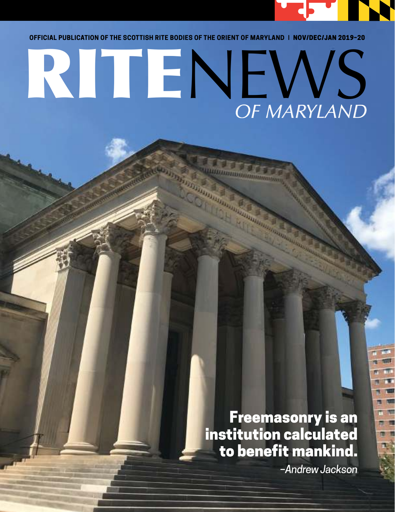

**OFFICIAL PUBLICATION OF THE SCOTTISH RITE BODIES OF THE ORIENT OF MARYLAND |** NOV/DEC/JAN 2019–20

# RITENEWS *OF MARYLAND*

Freemasonry is an institution calculated to benefit mankind.

*–Andrew Jackson*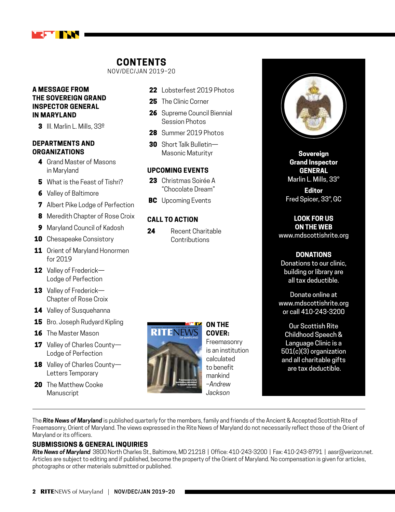

### **CONTENTS**

NOV/DEC/JAN 2019–20

#### **A MESSAGE FROM THE SOVEREIGN GRAND INSPECTOR GENERAL IN MARYLAND**

**3** III. Marlin L. Mills, 33º

#### **DEPARTMENTS AND ORGANIZATIONS**

- 4 Grand Master of Masons in Maryland
- **5** What is the Feast of Tishri?
- **6** Valley of Baltimore
- **7** Albert Pike Lodge of Perfection
- 8 Meredith Chapter of Rose Croix
- 9 Maryland Council of Kadosh
- **10** Chesapeake Consistory
- **11** Orient of Maryland Honormen for 2019
- 12 Valley of Frederick-Lodge of Perfection
- 13 Valley of Frederick-Chapter of Rose Croix
- 14 Valley of Susquehanna
- 15 Bro. Joseph Rudyard Kipling
- **16** The Master Mason
- 17 Valley of Charles County-Lodge of Perfection
- 18 Valley of Charles County-Letters Temporary
- 20 The Matthew Cooke Manuscript



- 25 The Clinic Corner
- 26 Supreme Council Biennial Session Photos
- 28 Summer 2019 Photos
- 30 Short Talk Bulletin— Masonic Maturityr

#### **UPCOMING EVENTS**

- 23 Christmas Soirée A "Chocolate Dream"
- **BC** Upcoming Events

#### **CALL TO ACTION**

24 Recent Charitable **Contributions** 



**COVER:**  Freemasonry is an institution calculated to benefit mankind *–Andrew Jackson*

**ON THE** 



**Sovereign Grand Inspector GENERAL** Marlin L. Mills, 33°

**Editor** Fred Spicer, 33°, GC

### **LOOK FOR US ON THE WEB**

www.mdscottishrite.org

#### **DONATIONS**

Donations to our clinic, building or library are all tax deductible.

Donate online at www.mdscottishrite.org or call 410-243-3200

Our Scottish Rite Childhood Speech & Language Clinic is a 501(c)(3) organization and all charitable gifts are tax deductible.

The *Rite News of Maryland* is published quarterly for the members, family and friends of the Ancient & Accepted Scottish Rite of Freemasonry, Orient of Maryland. The views expressed in the Rite News of Maryland do not necessarily reflect those of the Orient of Maryland or its officers.

#### **SUBMISSIONS & GENERAL INQUIRIES**

*Rite News of Maryland* 3800 North Charles St., Baltimore, MD 21218 | Office: 410-243-3200 | Fax: 410-243-8791 | aasr@verizon.net. Articles are subject to editing and if published, become the property of the Orient of Maryland. No compensation is given for articles, photographs or other materials submitted or published.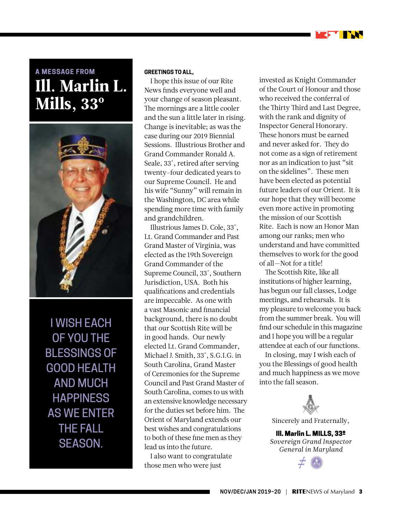## **A MESSAGE FROM** Ill. Marlin L. Mills, 33º



I WISH EACH OF YOU THE BLESSINGS OF GOOD HEALTH AND MUCH **HAPPINESS** AS WE ENTER THE FALL SEASON.

#### **GREETINGS TO ALL,**

I hope this issue of our Rite News finds everyone well and your change of season pleasant. The mornings are a little cooler and the sun a little later in rising. Change is inevitable; as was the case during our 2019 Biennial Sessions. Illustrious Brother and Grand Commander Ronald A. Seale, 33°, retired after serving twenty-four dedicated years to our Supreme Council. He and his wife "Sunny" will remain in the Washington, DC area while spending more time with family and grandchildren.

Illustrious James D. Cole, 33°, Lt. Grand Commander and Past Grand Master of Virginia, was elected as the 19th Sovereign Grand Commander of the Supreme Council, 33°, Southern Jurisdiction, USA. Both his qualifications and credentials are impeccable. As one with a vast Masonic and financial background, there is no doubt that our Scottish Rite will be in good hands. Our newly elected Lt. Grand Commander, Michael J. Smith, 33°, S.G.I.G. in South Carolina, Grand Master of Ceremonies for the Supreme Council and Past Grand Master of South Carolina, comes to us with an extensive knowledge necessary for the duties set before him. The Orient of Maryland extends our best wishes and congratulations to both of these fine men as they lead us into the future.

I also want to congratulate those men who were just

invested as Knight Commander of the Court of Honour and those who received the conferral of the Thirty Third and Last Degree, with the rank and dignity of Inspector General Honorary. These honors must be earned and never asked for. They do not come as a sign of retirement nor as an indication to just "sit on the sidelines". These men have been elected as potential future leaders of our Orient. It is our hope that they will become even more active in promoting the mission of our Scottish Rite. Each is now an Honor Man among our ranks; men who understand and have committed themselves to work for the good of all—Not for a title!

**INN** 

Æ5'I

The Scottish Rite, like all institutions of higher learning, has begun our fall classes, Lodge meetings, and rehearsals. It is my pleasure to welcome you back from the summer break. You will find our schedule in this magazine and I hope you will be a regular attendee at each of our functions.

In closing, may I wish each of you the Blessings of good health and much happiness as we move into the fall season.



Sincerely and Fraternally,

Ill. Marlin L. MILLS, 33º *Sovereign Grand Inspector General in Maryland*

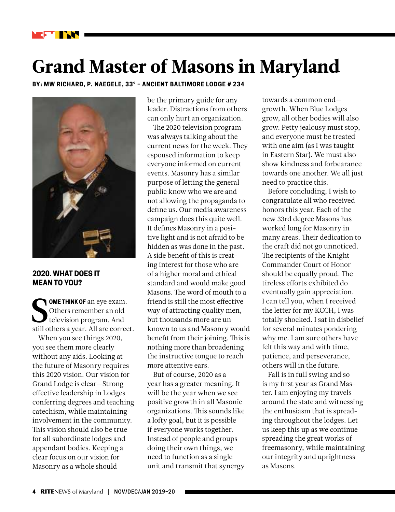

## Grand Master of Masons in Maryland

#### **BY: MW RICHARD, P. NAEGELE, 33° – ANCIENT BALTIMORE LODGE # 234**



### **2020. WHAT DOES IT MEAN TO YOU?**

**SOMETHINK OF** an eye exam.<br>
Others remember an old<br>
television program. And<br>
still others a year. All are correct. **OME THINK OF** an eye exam. Others remember an old television program. And When you see things 2020,

you see them more clearly without any aids. Looking at the future of Masonry requires this 2020 vision. Our vision for Grand Lodge is clear—Strong effective leadership in Lodges conferring degrees and teaching catechism, while maintaining involvement in the community. This vision should also be true for all subordinate lodges and appendant bodies. Keeping a clear focus on our vision for Masonry as a whole should

be the primary guide for any leader. Distractions from others can only hurt an organization.

The 2020 television program was always talking about the current news for the week. They espoused information to keep everyone informed on current events. Masonry has a similar purpose of letting the general public know who we are and not allowing the propaganda to define us. Our media awareness campaign does this quite well. It defines Masonry in a positive light and is not afraid to be hidden as was done in the past. A side benefit of this is creating interest for those who are of a higher moral and ethical standard and would make good Masons. The word of mouth to a friend is still the most effective way of attracting quality men, but thousands more are unknown to us and Masonry would benefit from their joining. This is nothing more than broadening the instructive tongue to reach more attentive ears.

But of course, 2020 as a year has a greater meaning. It will be the year when we see positive growth in all Masonic organizations. This sounds like a lofty goal, but it is possible if everyone works together. Instead of people and groups doing their own things, we need to function as a single unit and transmit that synergy towards a common end growth. When Blue Lodges grow, all other bodies will also grow. Petty jealousy must stop, and everyone must be treated with one aim (as I was taught in Eastern Star). We must also show kindness and forbearance towards one another. We all just need to practice this.

Before concluding, I wish to congratulate all who received honors this year. Each of the new 33rd degree Masons has worked long for Masonry in many areas. Their dedication to the craft did not go unnoticed. The recipients of the Knight Commander Court of Honor should be equally proud. The tireless efforts exhibited do eventually gain appreciation. I can tell you, when I received the letter for my KCCH, I was totally shocked. I sat in disbelief for several minutes pondering why me. I am sure others have felt this way and with time, patience, and perseverance, others will in the future.

Fall is in full swing and so is my first year as Grand Master. I am enjoying my travels around the state and witnessing the enthusiasm that is spreading throughout the lodges. Let us keep this up as we continue spreading the great works of freemasonry, while maintaining our integrity and uprightness as Masons.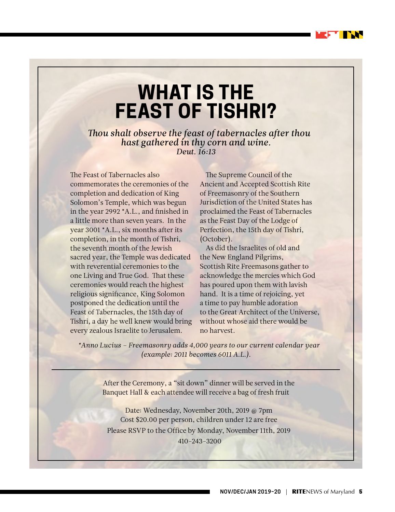

## **WHAT IS THE FEAST OF TISHRI?**

*Thou shalt observe the feast of tabernacles after thou hast gathered in thy corn and wine. Deut. 16:13*

The Feast of Tabernacles also commemorates the ceremonies of the completion and dedication of King Solomon's Temple, which was begun in the year 2992 \*A.L., and finished in a little more than seven years. In the year 3001 \*A.L., six months after its completion, in the month of Tishri, the seventh month of the Jewish sacred year, the Temple was dedicated with reverential ceremonies to the one Living and True God. That these ceremonies would reach the highest religious significance, King Solomon postponed the dedication until the Feast of Tabernacles, the 15th day of Tishri, a day he well knew would bring every zealous Israelite to Jerusalem.

The Supreme Council of the Ancient and Accepted Scottish Rite of Freemasonry of the Southern Jurisdiction of the United States has proclaimed the Feast of Tabernacles as the Feast Day of the Lodge of Perfection, the 15th day of Tishri, (October).

As did the Israelites of old and the New England Pilgrims, Scottish Rite Freemasons gather to acknowledge the mercies which God has poured upon them with lavish hand. It is a time of rejoicing, yet a time to pay humble adoration to the Great Architect of the Universe, without whose aid there would be no harvest.

*\*Anno Lucius – Freemasonry adds 4,000 years to our current calendar year (example: 2011 becomes 6011 A.L.).*

After the Ceremony, a "sit down" dinner will be served in the Banquet Hall & each attendee will receive a bag of fresh fruit

Date: Wednesday, November 20th, 2019 @ 7pm Cost \$20.00 per person, children under 12 are free Please RSVP to the Office by Monday, November 11th, 2019 410-243-3200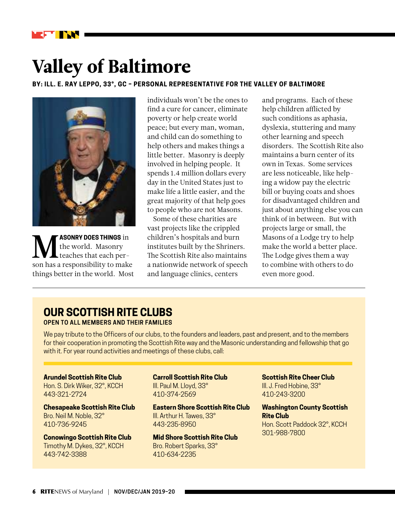

## Valley of Baltimore

#### **BY: ILL. E. RAY LEPPO, 33°, GC – PERSONAL REPRESENTATIVE FOR THE VALLEY OF BALTIMORE**



**M** son FHINGS in<br>the world. Masonry<br>son has a responsibility to make **ASONRY DOES THINGS** in the world. Masonry teaches that each perthings better in the world. Most individuals won't be the ones to find a cure for cancer, eliminate poverty or help create world peace; but every man, woman, and child can do something to help others and makes things a little better. Masonry is deeply involved in helping people. It spends 1.4 million dollars every day in the United States just to make life a little easier, and the great majority of that help goes to people who are not Masons.

Some of these charities are vast projects like the crippled children's hospitals and burn institutes built by the Shriners. The Scottish Rite also maintains a nationwide network of speech and language clinics, centers

and programs. Each of these help children afflicted by such conditions as aphasia, dyslexia, stuttering and many other learning and speech disorders. The Scottish Rite also maintains a burn center of its own in Texas. Some services are less noticeable, like helping a widow pay the electric bill or buying coats and shoes for disadvantaged children and just about anything else you can think of in between. But with projects large or small, the Masons of a Lodge try to help make the world a better place. The Lodge gives them a way to combine with others to do even more good.

### **OUR SCOTTISH RITE CLUBS OPEN TO ALL MEMBERS AND THEIR FAMILIES**

We pay tribute to the Officers of our clubs, to the founders and leaders, past and present, and to the members for their cooperation in promoting the Scottish Rite way and the Masonic understanding and fellowship that go with it. For year round activities and meetings of these clubs, call:

#### **Arundel Scottish Rite Club**

Hon. S. Dirk Wiker, 32°, KCCH 443-321-2724

**Chesapeake Scottish Rite Club**  Bro. Neil M. Noble, 32° 410-736-9245

**Conowingo Scottish Rite Club**  Timothy M. Dykes, 32°, KCCH 443-742-3388

**Carroll Scottish Rite Club**  Ill. Paul M. Lloyd, 33° 410-374-2569

**Eastern Shore Scottish Rite Club** Ill. Arthur H. Tawes, 33° 443-235-8950

**Mid Shore Scottish Rite Club**  Bro. Robert Sparks, 33° 410-634-2235

**Scottish Rite Cheer Club**  Ill. J. Fred Hobine, 33° 410-243-3200

**Washington County Scottish Rite Club**  Hon. Scott Paddock 32°, KCCH 301-988-7800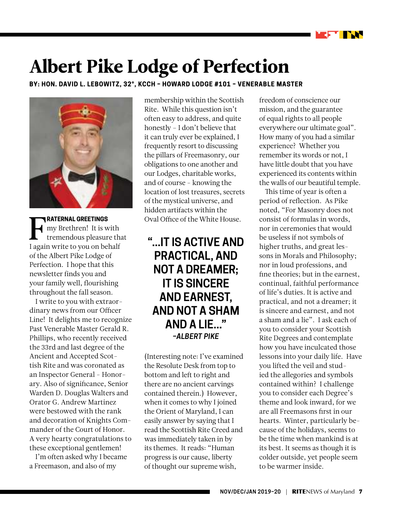

## Albert Pike Lodge of Perfection

### **BY: HON. DAVID L. LEBOWITZ, 32°, KCCH – HOWARD LODGE #101 – VENERABLE MASTER**



**FRATERNAL GREETINGS**<br>
I again write to you on behalf **RATERNAL GREETINGS** my Brethren! It is with tremendous pleasure that of the Albert Pike Lodge of Perfection. I hope that this newsletter finds you and your family well, flourishing throughout the fall season.

I write to you with extraordinary news from our Officer Line! It delights me to recognize Past Venerable Master Gerald R. Phillips, who recently received the 33rd and last degree of the Ancient and Accepted Scottish Rite and was coronated as an Inspector General - Honorary. Also of significance, Senior Warden D. Douglas Walters and Orator G. Andrew Martinez were bestowed with the rank and decoration of Knights Commander of the Court of Honor. A very hearty congratulations to these exceptional gentlemen!

I'm often asked why I became a Freemason, and also of my

membership within the Scottish Rite. While this question isn't often easy to address, and quite honestly – I don't believe that it can truly ever be explained, I frequently resort to discussing the pillars of Freemasonry, our obligations to one another and our Lodges, charitable works, and of course - knowing the location of lost treasures, secrets of the mystical universe, and hidden artifacts within the Oval Office of the White House.

## **"...IT IS ACTIVE AND PRACTICAL, AND NOT A DREAMER; IT IS SINCERE AND EARNEST, AND NOT A SHAM AND A LIE..."**  *–ALBERT PIKE*

(Interesting note: I've examined the Resolute Desk from top to bottom and left to right and there are no ancient carvings contained therein.) However, when it comes to why I joined the Orient of Maryland, I can easily answer by saying that I read the Scottish Rite Creed and was immediately taken in by its themes. It reads: "Human progress is our cause, liberty of thought our supreme wish,

freedom of conscience our mission, and the guarantee of equal rights to all people everywhere our ultimate goal". How many of you had a similar experience? Whether you remember its words or not, I have little doubt that you have experienced its contents within the walls of our beautiful temple.

This time of year is often a period of reflection. As Pike noted, "For Masonry does not consist of formulas in words, nor in ceremonies that would be useless if not symbols of higher truths, and great lessons in Morals and Philosophy; nor in loud professions, and fine theories; but in the earnest, continual, faithful performance of life's duties. It is active and practical, and not a dreamer; it is sincere and earnest, and not a sham and a lie". I ask each of you to consider your Scottish Rite Degrees and contemplate how you have inculcated those lessons into your daily life. Have you lifted the veil and studied the allegories and symbols contained within? I challenge you to consider each Degree's theme and look inward, for we are all Freemasons first in our hearts. Winter, particularly because of the holidays, seems to be the time when mankind is at its best. It seems as though it is colder outside, yet people seem to be warmer inside.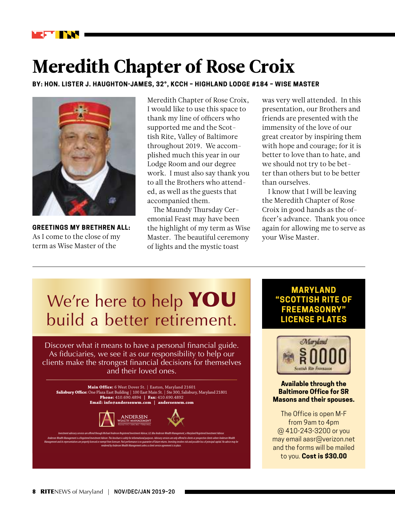

## Meredith Chapter of Rose Croix

### **BY: HON. LISTER J. HAUGHTON-JAMES, 32°, KCCH – HIGHLAND LODGE #184 – WISE MASTER**



**GREETINGS MY BRETHREN ALL:** As I come to the close of my term as Wise Master of the

Meredith Chapter of Rose Croix, I would like to use this space to thank my line of officers who supported me and the Scottish Rite, Valley of Baltimore throughout 2019. We accomplished much this year in our Lodge Room and our degree work. I must also say thank you to all the Brothers who attended, as well as the guests that accompanied them.

The Maundy Thursday Ceremonial Feast may have been the highlight of my term as Wise Master. The beautiful ceremony of lights and the mystic toast

was very well attended. In this presentation, our Brothers and friends are presented with the immensity of the love of our great creator by inspiring them with hope and courage; for it is better to love than to hate, and we should not try to be better than others but to be better than ourselves.

I know that I will be leaving the Meredith Chapter of Rose Croix in good hands as the officer's advance. Thank you once again for allowing me to serve as your Wise Master.

## We're here to help YOU build a better retirement.

Discover what it means to have a personal financial guide. As fiduciaries, we see it as our responsibility to help our clients make the strongest financial decisions for themselves and their loved ones.



### **MARYLAND "SCOTTISH RITE OF FREEMASONRY LICENSE PLATES**



#### **Available through the Baltimore Office for SR Masons and their spouses.**

The Office is open M-F from 9am to 4pm @ 410-243-3200 or you may email aasr@verizon.net and the forms will be mailed to you. **Cost is \$30.00**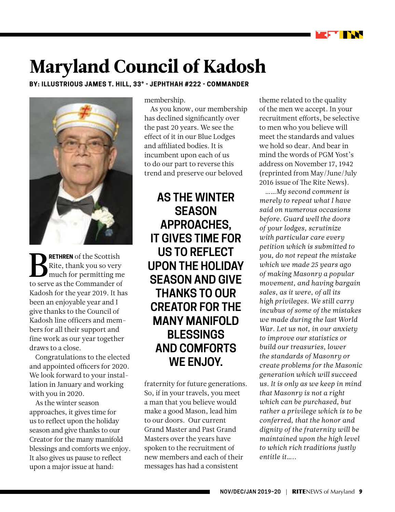

## Maryland Council of Kadosh

### **BY: ILLUSTRIOUS JAMES T. HILL, 33° - JEPHTHAH #222 - COMMANDER**



**BETHREN** of the Scottish<br>Rite, thank you so very<br>to serve as the Commander of **RETHREN** of the Scottish Rite, thank you so very much for permitting me Kadosh for the year 2019. It has been an enjoyable year and I give thanks to the Council of Kadosh line officers and members for all their support and fine work as our year together draws to a close.

Congratulations to the elected and appointed officers for 2020. We look forward to your installation in January and working with you in 2020.

As the winter season approaches, it gives time for us to reflect upon the holiday season and give thanks to our Creator for the many manifold blessings and comforts we enjoy. It also gives us pause to reflect upon a major issue at hand:

membership.

As you know, our membership has declined significantly over the past 20 years. We see the effect of it in our Blue Lodges and affiliated bodies. It is incumbent upon each of us to do our part to reverse this trend and preserve our beloved

**AS THE WINTER SEASON APPROACHES, IT GIVES TIME FOR US TO REFLECT UPON THE HOLIDAY SEASON AND GIVE THANKS TO OUR CREATOR FOR THE MANY MANIFOLD BLESSINGS AND COMFORTS WE ENJOY.**

fraternity for future generations. So, if in your travels, you meet a man that you believe would make a good Mason, lead him to our doors. Our current Grand Master and Past Grand Masters over the years have spoken to the recruitment of new members and each of their messages has had a consistent

theme related to the quality of the men we accept. In your recruitment efforts, be selective to men who you believe will meet the standards and values we hold so dear. And bear in mind the words of PGM Yost's address on November 17, 1942 (reprinted from May/June/July 2016 issue of The Rite News).

*……My second comment is merely to repeat what I have said on numerous occasions before. Guard well the doors of your lodges, scrutinize with particular care every petition which is submitted to you, do not repeat the mistake which we made 25 years ago of making Masonry a popular movement, and having bargain sales, as it were, of all its high privileges. We still carry incubus of some of the mistakes we made during the last World War. Let us not, in our anxiety to improve our statistics or build our treasuries, lower the standards of Masonry or create problems for the Masonic generation which will succeed us. It is only as we keep in mind that Masonry is not a right which can be purchased, but rather a privilege which is to be conferred, that the honor and dignity of the fraternity will be maintained upon the high level to which rich traditions justly entitle it…..*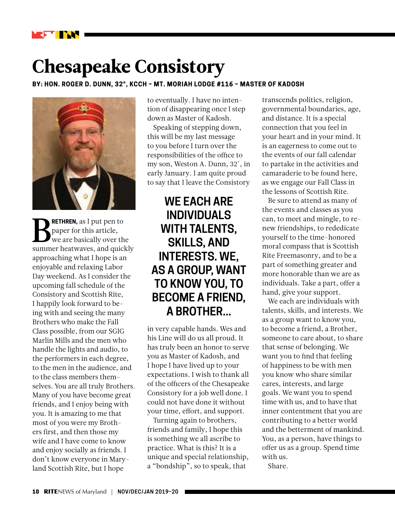

## Chesapeake Consistory

#### **BY: HON. ROGER D. DUNN, 32°, KCCH – MT. MORIAH LODGE #116 – MASTER OF KADOSH**



**BETHREN,** as I put pen to<br>
we are basically over the<br>
summer heatwaves, and quickly **RETHREN,** as I put pen to paper for this article, we are basically over the approaching what I hope is an enjoyable and relaxing Labor Day weekend. As I consider the upcoming fall schedule of the Consistory and Scottish Rite, I happily look forward to being with and seeing the many Brothers who make the Fall Class possible, from our SGIG Marlin Mills and the men who handle the lights and audio, to the performers in each degree, to the men in the audience, and to the class members themselves. You are all truly Brothers. Many of you have become great friends, and I enjoy being with you. It is amazing to me that most of you were my Brothers first, and then those my wife and I have come to know and enjoy socially as friends. I don't know everyone in Maryland Scottish Rite, but I hope

to eventually. I have no intention of disappearing once I step down as Master of Kadosh.

Speaking of stepping down, this will be my last message to you before I turn over the responsibilities of the office to my son, Weston A. Dunn, 32°, in early January. I am quite proud to say that I leave the Consistory

## **WE EACH ARE INDIVIDUALS WITH TALENTS, SKILLS, AND INTERESTS. WE, AS A GROUP, WANT TO KNOW YOU, TO BECOME A FRIEND, A BROTHER...**

in very capable hands. Wes and his Line will do us all proud. It has truly been an honor to serve you as Master of Kadosh, and I hope I have lived up to your expectations. I wish to thank all of the officers of the Chesapeake Consistory for a job well done. I could not have done it without your time, effort, and support.

Turning again to brothers, friends and family, I hope this is something we all ascribe to practice. What is this? It is a unique and special relationship, a "bondship", so to speak, that

transcends politics, religion, governmental boundaries, age, and distance. It is a special connection that you feel in your heart and in your mind. It is an eagerness to come out to the events of our fall calendar to partake in the activities and camaraderie to be found here, as we engage our Fall Class in the lessons of Scottish Rite.

Be sure to attend as many of the events and classes as you can, to meet and mingle, to renew friendships, to rededicate yourself to the time-honored moral compass that is Scottish Rite Freemasonry, and to be a part of something greater and more honorable than we are as individuals. Take a part, offer a hand, give your support.

We each are individuals with talents, skills, and interests. We as a group want to know you, to become a friend, a Brother, someone to care about, to share that sense of belonging. We want you to find that feeling of happiness to be with men you know who share similar cares, interests, and large goals. We want you to spend time with us, and to have that inner contentment that you are contributing to a better world and the betterment of mankind. You, as a person, have things to offer us as a group. Spend time with us.

Share.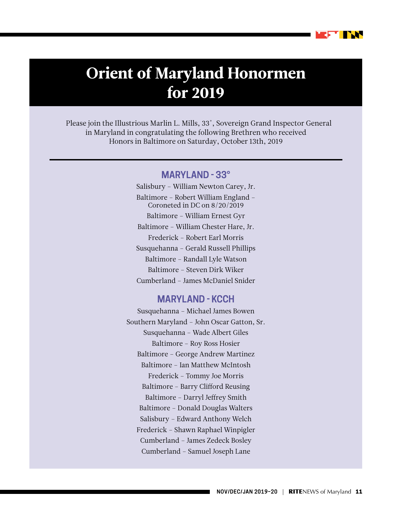

## Orient of Maryland Honormen for 2019

Please join the Illustrious Marlin L. Mills, 33°, Sovereign Grand Inspector General in Maryland in congratulating the following Brethren who received Honors in Baltimore on Saturday, October 13th, 2019

### **MARYLAND - 33°**

Salisbury – William Newton Carey, Jr. Baltimore – Robert William England – Coroneted in DC on 8/20/2019 Baltimore – William Ernest Gyr Baltimore – William Chester Hare, Jr. Frederick – Robert Earl Morris Susquehanna – Gerald Russell Phillips Baltimore – Randall Lyle Watson Baltimore – Steven Dirk Wiker Cumberland – James McDaniel Snider

### **MARYLAND - KCCH**

Susquehanna – Michael James Bowen Southern Maryland – John Oscar Gatton, Sr. Susquehanna – Wade Albert Giles Baltimore – Roy Ross Hosier Baltimore – George Andrew Martinez Baltimore – Ian Matthew McIntosh Frederick – Tommy Joe Morris Baltimore – Barry Clifford Reusing Baltimore – Darryl Jeffrey Smith Baltimore – Donald Douglas Walters Salisbury – Edward Anthony Welch Frederick – Shawn Raphael Winpigler Cumberland – James Zedeck Bosley Cumberland – Samuel Joseph Lane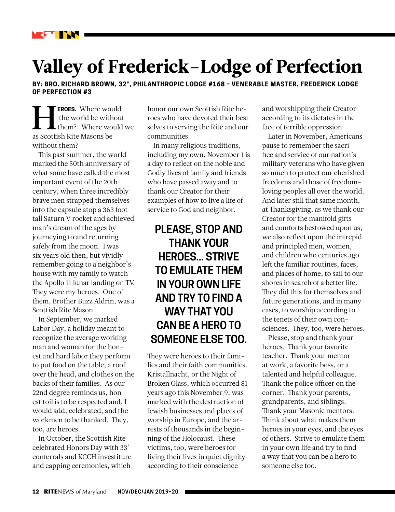

## Valley of Frederick–Lodge of Perfection

**BY: BRO. RICHARD BROWN, 32°, PHILANTHROPIC LODGE #168 – VENERABLE MASTER, FREDERICK LODGE OF PERFECTION #3**

**EROES.** Where wou the world be with them? Where wou as Scottish Rite Masons be **EROES.** Where would the world be without them? Where would we without them?

This past summer, the world marked the 50th anniversary of what some have called the most important event of the 20th century, when three incredibly brave men strapped themselves into the capsule atop a 363 foot tall Saturn V rocket and achieved man's dream of the ages by journeying to and returning safely from the moon. I was six years old then, but vividly remember going to a neighbor's house with my family to watch the Apollo 11 lunar landing on TV. They were my heroes. One of them, Brother Buzz Aldrin, was a Scottish Rite Mason.

In September, we marked Labor Day, a holiday meant to recognize the average working man and woman for the honest and hard labor they perform to put food on the table, a roof over the head, and clothes on the backs of their families. As our 22nd degree reminds us, honest toil is to be respected and, I would add, celebrated, and the workmen to be thanked. They, too, are heroes.

In October, the Scottish Rite celebrated Honors Day with 33° conferrals and KCCH investiture and capping ceremonies, which

honor our own Scottish Rite heroes who have devoted their best selves to serving the Rite and our communities.

In many religious traditions, including my own, November 1 is a day to reflect on the noble and Godly lives of family and friends who have passed away and to thank our Creator for their examples of how to live a life of service to God and neighbor.

## **PLEASE, STOP AND THANK YOUR HEROES... STRIVE TO EMULATE THEM IN YOUR OWN LIFE AND TRY TO FIND A WAY THAT YOU CAN BE A HERO TO SOMEONE ELSE TOO.**

They were heroes to their families and their faith communities. Kristallnacht, or the Night of Broken Glass, which occurred 81 years ago this November 9, was marked with the destruction of Jewish businesses and places of worship in Europe, and the arrests of thousands in the beginning of the Holocaust. These victims, too, were heroes for living their lives in quiet dignity according to their conscience

and worshipping their Creator according to its dictates in the face of terrible oppression.

Later in November, Americans pause to remember the sacrifice and service of our nation's military veterans who have given so much to protect our cherished freedoms and those of freedomloving peoples all over the world. And later still that same month, at Thanksgiving, as we thank our Creator for the manifold gifts and comforts bestowed upon us, we also reflect upon the intrepid and principled men, women, and children who centuries ago left the familiar routines, faces, and places of home, to sail to our shores in search of a better life. They did this for themselves and future generations, and in many cases, to worship according to the tenets of their own consciences. They, too, were heroes.

Please, stop and thank your heroes. Thank your favorite teacher. Thank your mentor at work, a favorite boss, or a talented and helpful colleague. Thank the police officer on the corner. Thank your parents, grandparents, and siblings. Thank your Masonic mentors. Think about what makes them heroes in your eyes, and the eyes of others. Strive to emulate them in your own life and try to find a way that you can be a hero to someone else too.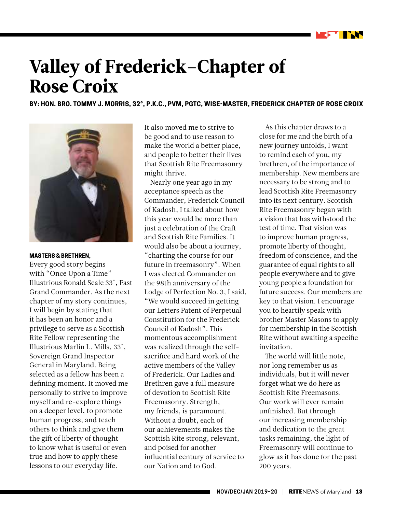

## Valley of Frederick–Chapter of Rose Croix

**BY: HON. BRO. TOMMY J. MORRIS, 32°, P.K.C., PVM, PGTC, WISE-MASTER, FREDERICK CHAPTER OF ROSE CROIX**



**MASTERS & BRETHREN,**

Every good story begins with "Once Upon a Time"— Illustrious Ronald Seale 33°, Past Grand Commander. As the next chapter of my story continues, I will begin by stating that it has been an honor and a privilege to serve as a Scottish Rite Fellow representing the Illustrious Marlin L. Mills, 33°, Sovereign Grand Inspector General in Maryland. Being selected as a fellow has been a defining moment. It moved me personally to strive to improve myself and re-explore things on a deeper level, to promote human progress, and teach others to think and give them the gift of liberty of thought to know what is useful or even true and how to apply these lessons to our everyday life.

It also moved me to strive to be good and to use reason to make the world a better place, and people to better their lives that Scottish Rite Freemasonry might thrive.

Nearly one year ago in my acceptance speech as the Commander, Frederick Council of Kadosh, I talked about how this year would be more than just a celebration of the Craft and Scottish Rite Families. It would also be about a journey, "charting the course for our future in freemasonry". When I was elected Commander on the 98th anniversary of the Lodge of Perfection No. 3, I said, "We would succeed in getting our Letters Patent of Perpetual Constitution for the Frederick Council of Kadosh". This momentous accomplishment was realized through the selfsacrifice and hard work of the active members of the Valley of Frederick. Our Ladies and Brethren gave a full measure of devotion to Scottish Rite Freemasonry. Strength, my friends, is paramount. Without a doubt, each of our achievements makes the Scottish Rite strong, relevant, and poised for another influential century of service to our Nation and to God.

As this chapter draws to a close for me and the birth of a new journey unfolds, I want to remind each of you, my brethren, of the importance of membership. New members are necessary to be strong and to lead Scottish Rite Freemasonry into its next century. Scottish Rite Freemasonry began with a vision that has withstood the test of time. That vision was to improve human progress, promote liberty of thought, freedom of conscience, and the guarantee of equal rights to all people everywhere and to give young people a foundation for future success. Our members are key to that vision. I encourage you to heartily speak with brother Master Masons to apply for membership in the Scottish Rite without awaiting a specific invitation.

The world will little note, nor long remember us as individuals, but it will never forget what we do here as Scottish Rite Freemasons. Our work will ever remain unfinished. But through our increasing membership and dedication to the great tasks remaining, the light of Freemasonry will continue to glow as it has done for the past 200 years.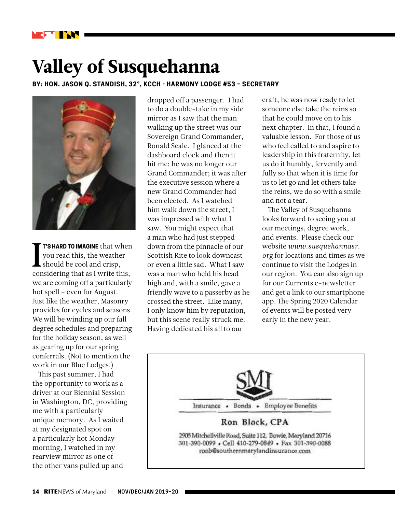

## Valley of Susquehanna

#### **BY: HON. JASON Q. STANDISH, 32°, KCCH - HARMONY LODGE #53 – SECRETARY**



I<sub>cor</sub> **T'S HARD TO IMAGINE** that when you read this, the weather should be cool and crisp, considering that as I write this, we are coming off a particularly hot spell – even for August. Just like the weather, Masonry provides for cycles and seasons. We will be winding up our fall degree schedules and preparing for the holiday season, as well as gearing up for our spring conferrals. (Not to mention the work in our Blue Lodges.)

This past summer, I had the opportunity to work as a driver at our Biennial Session in Washington, DC, providing me with a particularly unique memory. As I waited at my designated spot on a particularly hot Monday morning, I watched in my rearview mirror as one of the other vans pulled up and

dropped off a passenger. I had to do a double-take in my side mirror as I saw that the man walking up the street was our Sovereign Grand Commander, Ronald Seale. I glanced at the dashboard clock and then it hit me; he was no longer our Grand Commander; it was after the executive session where a new Grand Commander had been elected. As I watched him walk down the street, I was impressed with what I saw. You might expect that a man who had just stepped down from the pinnacle of our Scottish Rite to look downcast or even a little sad. What I saw was a man who held his head high and, with a smile, gave a friendly wave to a passerby as he crossed the street. Like many, I only know him by reputation, but this scene really struck me. Having dedicated his all to our

craft, he was now ready to let someone else take the reins so that he could move on to his next chapter. In that, I found a valuable lesson. For those of us who feel called to and aspire to leadership in this fraternity, let us do it humbly, fervently and fully so that when it is time for us to let go and let others take the reins, we do so with a smile and not a tear.

The Valley of Susquehanna looks forward to seeing you at our meetings, degree work, and events. Please check our website *www.susquehannasr. org* for locations and times as we continue to visit the Lodges in our region. You can also sign up for our Currents e-newsletter and get a link to our smartphone app. The Spring 2020 Calendar of events will be posted very early in the new year.

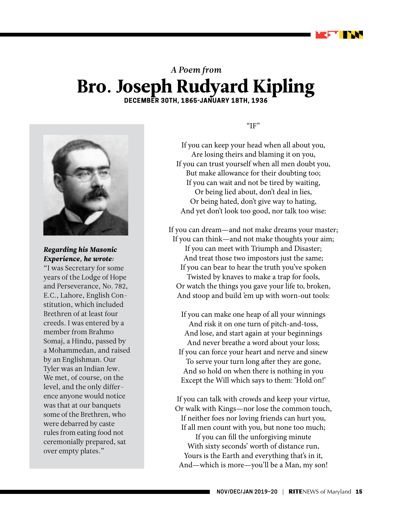

## *A Poem from* Bro. Joseph Rudyard Kipling **DECEMBER 30TH, 1865-JANUARY 18TH, 1936**



*Regarding his Masonic Experience, he wrote:* 

"I was Secretary for some years of the Lodge of Hope and Perseverance, No. 782, E.C., Lahore, English Constitution, which included Brethren of at least four creeds. I was entered by a member from Brahmo Somaj, a Hindu, passed by a Mohammedan, and raised by an Englishman. Our Tyler was an Indian Jew. We met, of course, on the level, and the only difference anyone would notice was that at our banquets some of the Brethren, who were debarred by caste rules from eating food not ceremonially prepared, sat over empty plates."

" $IF$ "

If you can keep your head when all about you, Are losing theirs and blaming it on you, If you can trust yourself when all men doubt you, But make allowance for their doubting too; If you can wait and not be tired by waiting, Or being lied about, don't deal in lies, Or being hated, don't give way to hating, And yet don't look too good, nor talk too wise:

If you can dream—and not make dreams your master; If you can think—and not make thoughts your aim; If you can meet with Triumph and Disaster; And treat those two impostors just the same; If you can bear to hear the truth you've spoken Twisted by knaves to make a trap for fools, Or watch the things you gave your life to, broken, And stoop and build 'em up with worn-out tools:

If you can make one heap of all your winnings And risk it on one turn of pitch-and-toss, And lose, and start again at your beginnings And never breathe a word about your loss; If you can force your heart and nerve and sinew To serve your turn long after they are gone, And so hold on when there is nothing in you Except the Will which says to them: 'Hold on!'

If you can talk with crowds and keep your virtue, Or walk with Kings—nor lose the common touch, If neither foes nor loving friends can hurt you, If all men count with you, but none too much; If you can fill the unforgiving minute With sixty seconds' worth of distance run, Yours is the Earth and everything that's in it, And—which is more—you'll be a Man, my son!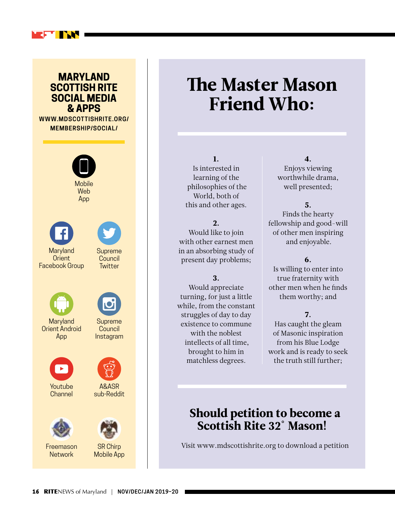

## **MARYLAND SCOTTISH RITE SOCIAL MEDIA & APPS WWW.MDSCOTTISHRITE.ORG/ MEMBERSHIP/SOCIAL/** Freemason **Network** SR Chirp Mobile App **Maryland Orient** Facebook Group Youtube Channel **Supreme** Council **Twitter** A&ASR sub-Reddit **Supreme Council** Instagram **Maryland** Orient Android App **Mobile Web** App

## The Master Mason Friend Who:

1. Is interested in learning of the philosophies of the World, both of this and other ages.

### 2.

Would like to join with other earnest men in an absorbing study of present day problems;

### 3.

Would appreciate turning, for just a little while, from the constant struggles of day to day existence to commune with the noblest intellects of all time, brought to him in matchless degrees.

### 4.

Enjoys viewing worthwhile drama, well presented;

### 5.

Finds the hearty fellowship and good-will of other men inspiring and enjoyable.

### 6.

Is willing to enter into true fraternity with other men when he finds them worthy; and

### 7.

Has caught the gleam of Masonic inspiration from his Blue Lodge work and is ready to seek the truth still further;

## Should petition to become a Scottish Rite 32° Mason!

Visit www.mdscottishrite.org to download a petition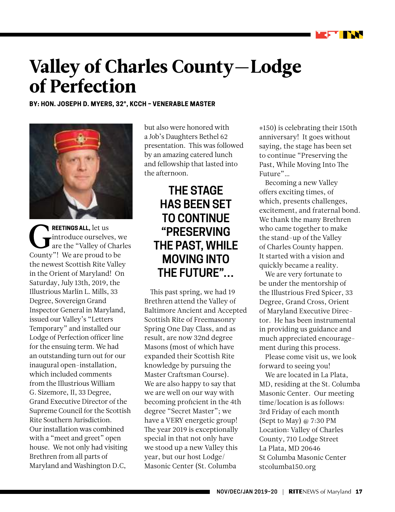

## Valley of Charles County—Lodge of Perfection

**BY: HON. JOSEPH D. MYERS, 32°, KCCH – VENERABLE MASTER**



REETINGS ALL, let us<br>introduce ourselves, wave the "Valley of Char<br>County"! We are proud to be **REETINGS ALL,** let us introduce ourselves, we are the "Valley of Charles the newest Scottish Rite Valley in the Orient of Maryland! On Saturday, July 13th, 2019, the Illustrious Marlin L. Mills, 33 Degree, Sovereign Grand Inspector General in Maryland, issued our Valley's "Letters Temporary" and installed our Lodge of Perfection officer line for the ensuing term. We had an outstanding turn out for our inaugural open-installation, which included comments from the Illustrious William G. Sizemore, II, 33 Degree, Grand Executive Director of the Supreme Council for the Scottish Rite Southern Jurisdiction. Our installation was combined with a "meet and greet" open house. We not only had visiting Brethren from all parts of Maryland and Washington D.C,

but also were honored with a Job's Daughters Bethel 62 presentation. This was followed by an amazing catered lunch and fellowship that lasted into the afternoon.

## **THE STAGE HAS BEEN SET TO CONTINUE "PRESERVING THE PAST, WHILE MOVING INTO THE FUTURE"…**

This past spring, we had 19 Brethren attend the Valley of Baltimore Ancient and Accepted Scottish Rite of Freemasonry Spring One Day Class, and as result, are now 32nd degree Masons (most of which have expanded their Scottish Rite knowledge by pursuing the Master Craftsman Course). We are also happy to say that we are well on our way with becoming proficient in the 4th degree "Secret Master"; we have a VERY energetic group! The year 2019 is exceptionally special in that not only have we stood up a new Valley this year, but our host Lodge/ Masonic Center (St. Columba

#150) is celebrating their 150th anniversary! It goes without saying, the stage has been set to continue "Preserving the Past, While Moving Into The Future"…

Becoming a new Valley offers exciting times, of which, presents challenges, excitement, and fraternal bond. We thank the many Brethren who came together to make the stand-up of the Valley of Charles County happen. It started with a vision and quickly became a reality.

We are very fortunate to be under the mentorship of the Illustrious Fred Spicer, 33 Degree, Grand Cross, Orient of Maryland Executive Director. He has been instrumental in providing us guidance and much appreciated encouragement during this process.

Please come visit us, we look forward to seeing you!

We are located in La Plata, MD, residing at the St. Columba Masonic Center. Our meeting time/location is as follows: 3rd Friday of each month (Sept to May) @ 7:30 PM Location: Valley of Charles County, 710 Lodge Street La Plata, MD 20646 St Columba Masonic Center stcolumba150.org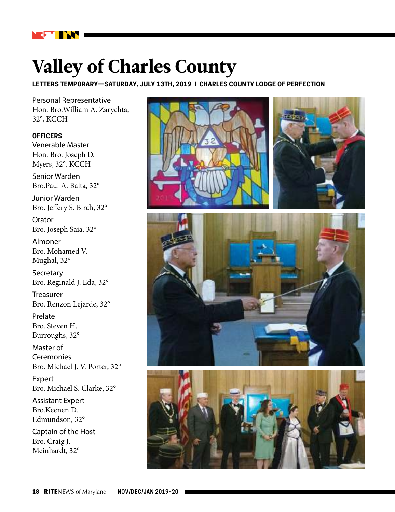

## Valley of Charles County

### **LETTERS TEMPORARY—SATURDAY, JULY 13TH, 2019 | CHARLES COUNTY LODGE OF PERFECTION**

Personal Representative Hon. Bro.William A. Zarychta, 32°, KCCH

**OFFICERS** Venerable Master Hon. Bro. Joseph D. Myers, 32°, KCCH Senior Warden Bro.Paul A. Balta, 32° Junior Warden Bro. Jeffery S. Birch, 32° **Orator** Bro. Joseph Saia, 32° Almoner Bro. Mohamed V. Mughal, 32° **Secretary** Bro. Reginald J. Eda, 32° Treasurer Bro. Renzon Lejarde, 32° Prelate Bro. Steven H. Burroughs, 32° Master of **Ceremonies** Bro. Michael J. V. Porter, 32° Expert Bro. Michael S. Clarke, 32° Assistant Expert Bro.Keenen D. Edmundson, 32° Captain of the Host

Bro. Craig J. Meinhardt, 32°

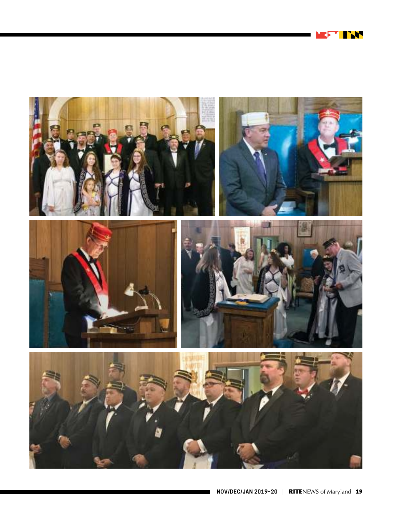



٠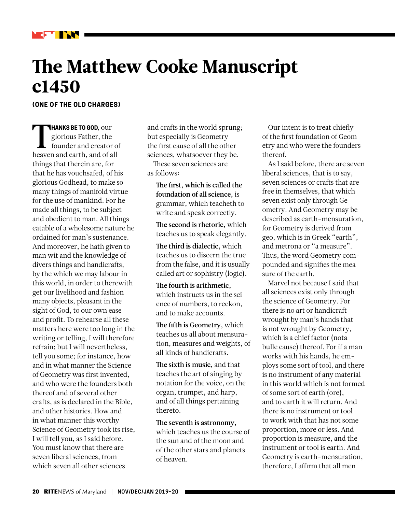

## The Matthew Cooke Manuscript c1450

**(ONE OF THE OLD CHARGES)**

**HANKS BE TO GOD, OUT**<br>glorious Father, the<br>founder and creator of<br>heaven and earth, and of all **HANKS BE TO GOD,** our glorious Father, the founder and creator of things that therein are, for that he has vouchsafed, of his glorious Godhead, to make so many things of manifold virtue for the use of mankind. For he made all things, to be subject and obedient to man. All things eatable of a wholesome nature he ordained for man's sustenance. And moreover, he hath given to man wit and the knowledge of divers things and handicrafts, by the which we may labour in this world, in order to therewith get our livelihood and fashion many objects, pleasant in the sight of God, to our own ease and profit. To rehearse all these matters here were too long in the writing or telling, I will therefore refrain; but I will nevertheless, tell you some; for instance, how and in what manner the Science of Geometry was first invented, and who were the founders both thereof and of several other crafts, as is declared in the Bible, and other histories. How and in what manner this worthy Science of Geometry took its rise, I will tell you, as I said before. You must know that there are seven liberal sciences, from which seven all other sciences

and crafts in the world sprung; but especially is Geometry the first cause of all the other sciences, whatsoever they be.

These seven sciences are as follows:

> The first, which is called the foundation of all science, is grammar, which teacheth to write and speak correctly.

The second is rhetoric, which teaches us to speak elegantly.

The third is dialectic, which teaches us to discern the true from the false, and it is usually called art or sophistry (logic).

The fourth is arithmetic, which instructs us in the science of numbers, to reckon, and to make accounts.

The fifth is Geometry, which teaches us all about mensuration, measures and weights, of all kinds of handicrafts.

The sixth is music, and that teaches the art of singing by notation for the voice, on the organ, trumpet, and harp, and of all things pertaining thereto.

The seventh is astronomy, which teaches us the course of the sun and of the moon and of the other stars and planets of heaven.

Our intent is to treat chiefly of the first foundation of Geometry and who were the founders thereof.

As I said before, there are seven liberal sciences, that is to say, seven sciences or crafts that are free in themselves, that which seven exist only through Geometry. And Geometry may be described as earth-mensuration, for Geometry is derived from geo, which is in Greek "earth", and metrona or "a measure". Thus, the word Geometry compounded and signifies the measure of the earth.

Marvel not because I said that all sciences exist only through the science of Geometry. For there is no art or handicraft wrought by man's hands that is not wrought by Geometry, which is a chief factor (notabulle cause) thereof. For if a man works with his hands, he employs some sort of tool, and there is no instrument of any material in this world which is not formed of some sort of earth (ore), and to earth it will return. And there is no instrument or tool to work with that has not some proportion, more or less. And proportion is measure, and the instrument or tool is earth. And Geometry is earth-mensuration, therefore, I affirm that all men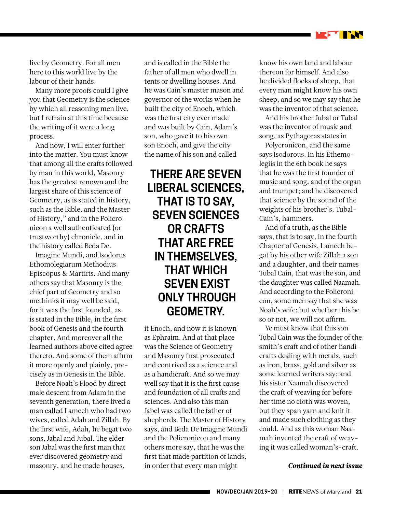

live by Geometry. For all men here to this world live by the labour of their hands.

Many more proofs could I give you that Geometry is the science by which all reasoning men live, but I refrain at this time because the writing of it were a long process.

And now, I will enter further into the matter. You must know that among all the crafts followed by man in this world, Masonry has the greatest renown and the largest share of this science of Geometry, as is stated in history, such as the Bible, and the Master of History," and in the Policronicon a well authenticated (or trustworthy) chronicle, and in the history called Beda De.

Imagine Mundi, and Isodorus Ethomolegiarum Methodius Episcopus & Martiris. And many others say that Masonry is the chief part of Geometry and so methinks it may well be said, for it was the first founded, as is stated in the Bible, in the first book of Genesis and the fourth chapter. And moreover all the learned authors above cited agree thereto. And some of them affirm it more openly and plainly, precisely as in Genesis in the Bible.

Before Noah's Flood by direct male descent from Adam in the seventh generation, there lived a man called Lamech who had two wives, called Adah and Zillah. By the first wife, Adah, he begat two sons, Jabal and Jubal. The elder son Jabal was the first man that ever discovered geometry and masonry, and he made houses,

and is called in the Bible the father of all men who dwell in tents or dwelling houses. And he was Cain's master mason and governor of the works when he built the city of Enoch, which was the first city ever made and was built by Cain, Adam's son, who gave it to his own son Enoch, and give the city the name of his son and called

## **THERE ARE SEVEN LIBERAL SCIENCES, THAT IS TO SAY, SEVEN SCIENCES OR CRAFTS THAT ARE FREE IN THEMSELVES, THAT WHICH SEVEN EXIST ONLY THROUGH GEOMETRY.**

it Enoch, and now it is known as Ephraim. And at that place was the Science of Geometry and Masonry first prosecuted and contrived as a science and as a handicraft. And so we may well say that it is the first cause and foundation of all crafts and sciences. And also this man Jabel was called the father of shepherds. The Master of History says, and Beda De Imagine Mundi and the Policronicon and many others more say, that he was the first that made partition of lands, in order that every man might

know his own land and labour thereon for himself. And also he divided flocks of sheep, that every man might know his own sheep, and so we may say that he was the inventor of that science.

And his brother Jubal or Tubal was the inventor of music and song, as Pythagoras states in

Polycronicon, and the same says Isodorous. In his Ethemolegiis in the 6th book he says that he was the first founder of music and song, and of the organ and trumpet; and he discovered that science by the sound of the weights of his brother's, Tubal-Cain's, hammers.

And of a truth, as the Bible says, that is to say, in the fourth Chapter of Genesis, Lamech begat by his other wife Zillah a son and a daughter, and their names Tubal Cain, that was the son, and the daughter was called Naamah. And according to the Policronicon, some men say that she was Noah's wife; but whether this be so or not, we will not affirm.

Ye must know that this son Tubal Cain was the founder of the smith's craft and of other handicrafts dealing with metals, such as iron, brass, gold and silver as some learned writers say; and his sister Naamah discovered the craft of weaving for before her time no cloth was woven, but they span yarn and knit it and made such clothing as they could. And as this woman Naamah invented the craft of weaving it was called woman's-craft.

#### *Continued in next issue*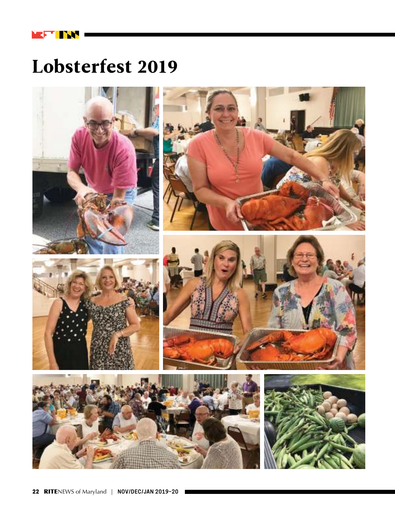

## Lobsterfest 2019

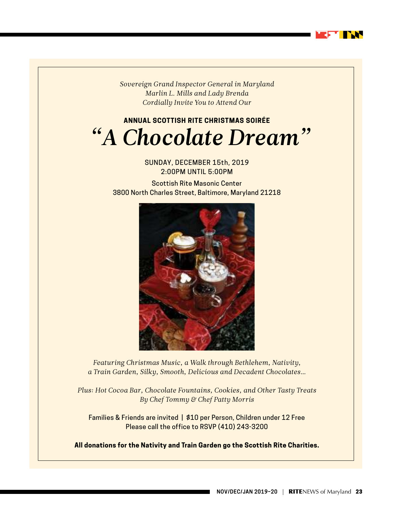*Sovereign Grand Inspector General in Maryland Marlin L. Mills and Lady Brenda Cordially Invite You to Attend Our*

## **ANNUAL SCOTTISH RITE CHRISTMAS SOIRÉE** *"A Chocolate Dream"*

SUNDAY, DECEMBER 15th, 2019 2:00PM UNTIL 5:00PM

Scottish Rite Masonic Center 3800 North Charles Street, Baltimore, Maryland 21218



*Featuring Christmas Music, a Walk through Bethlehem, Nativity, a Train Garden, Silky, Smooth, Delicious and Decadent Chocolates…* 

*Plus: Hot Cocoa Bar, Chocolate Fountains, Cookies, and Other Tasty Treats By Chef Tommy & Chef Patty Morris*

Families & Friends are invited | \$10 per Person, Children under 12 Free Please call the office to RSVP (410) 243-3200

**All donations for the Nativity and Train Garden go the Scottish Rite Charities.**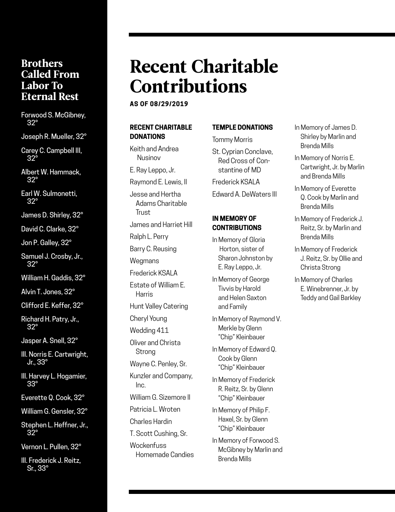## **Brothers** Called From Labor To Eternal Rest

Forwood S. McGibney, 32°

Joseph R. Mueller, 32°

Carey C. Campbell III, 32°

Albert W. Hammack, 32°

Earl W. Sulmonetti, 32°

James D. Shirley, 32°

David C. Clarke, 32°

Jon P. Galley, 32°

Samuel J. Crosby, Jr., 32°

William H. Gaddis, 32°

Alvin T. Jones, 32°

Clifford E. Keffer, 32°

Richard H. Patry, Jr., 32°

Jasper A. Snell, 32°

Ill. Norris E. Cartwright, Jr., 33°

Ill. Harvey L. Hogamier, 33°

Everette Q. Cook, 32°

William G. Gensler, 32°

Stephen L. Heffner, Jr., 32°

Vernon L. Pullen, 32°

Ill. Frederick J. Reitz, Sr., 33°

## Recent Charitable Contributions

**AS OF 08/29/2019**

### **RECENT CHARITABLE DONATIONS**

Keith and Andrea Nusinov E. Ray Leppo, Jr. Raymond E. Lewis, II Jesse and Hertha Adams Charitable Trust James and Harriet Hill Ralph L. Perry Barry C. Reusing **Wegmans** Frederick KSALA Estate of William E. Harris Hunt Valley Catering Cheryl Young Wedding 411 Oliver and Christa Strong Wayne C. Penley, Sr. Kunzler and Company,  $Inc.$ William G. Sizemore II Patricia L. Wroten Charles Hardin T. Scott Cushing, Sr. **Wockenfuss** Homemade Candies

### **TEMPLE DONATIONS**

Tommy Morris St. Cyprian Conclave, Red Cross of Constantine of MD Frederick KSALA Edward A. DeWaters III

### **IN MEMORY OF CONTRIBUTIONS**

In Memory of Gloria Horton, sister of Sharon Johnston by E. Ray Leppo, Jr.

In Memory of George Tivvis by Harold and Helen Saxton and Family

In Memory of Raymond V. Merkle by Glenn "Chip" Kleinbauer

In Memory of Edward Q. Cook by Glenn "Chip" Kleinbauer

In Memory of Frederick R. Reitz, Sr. by Glenn "Chip" Kleinbauer

In Memory of Philip F. Haxel, Sr. by Glenn "Chip" Kleinbauer

In Memory of Forwood S. McGibney by Marlin and Brenda Mills

- In Memory of James D. Shirley by Marlin and Brenda Mills
- In Memory of Norris E. Cartwright, Jr. by Marlin and Brenda Mills

In Memory of Everette Q. Cook by Marlin and Brenda Mills

In Memory of Frederick J. Reitz, Sr. by Marlin and Brenda Mills

In Memory of Frederick J. Reitz, Sr. by Ollie and Christa Strong

In Memory of Charles E. Winebrenner, Jr. by Teddy and Gail Barkley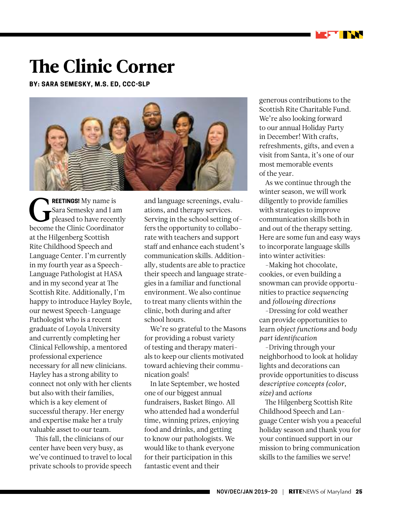

## The Clinic Corner

**BY: SARA SEMESKY, M.S. ED, CCC-SLP**



**GETINGS!** My name is<br>Sara Semesky and I am<br>become the Clinic Coordinator **REETINGS!** My name is Sara Semesky and I am pleased to have recently at the Hilgenberg Scottish Rite Childhood Speech and Language Center. I'm currently in my fourth year as a Speech-Language Pathologist at HASA and in my second year at The Scottish Rite. Additionally, I'm happy to introduce Hayley Boyle, our newest Speech-Language Pathologist who is a recent graduate of Loyola University and currently completing her Clinical Fellowship, a mentored professional experience necessary for all new clinicians. Hayley has a strong ability to connect not only with her clients but also with their families, which is a key element of successful therapy. Her energy and expertise make her a truly valuable asset to our team.

This fall, the clinicians of our center have been very busy, as we've continued to travel to local private schools to provide speech

and language screenings, evaluations, and therapy services. Serving in the school setting offers the opportunity to collaborate with teachers and support staff and enhance each student's communication skills. Additionally, students are able to practice their speech and language strategies in a familiar and functional environment. We also continue to treat many clients within the clinic, both during and after school hours.

We're so grateful to the Masons for providing a robust variety of testing and therapy materials to keep our clients motivated toward achieving their communication goals!

In late September, we hosted one of our biggest annual fundraisers, Basket Bingo. All who attended had a wonderful time, winning prizes, enjoying food and drinks, and getting to know our pathologists. We would like to thank everyone for their participation in this fantastic event and their

generous contributions to the Scottish Rite Charitable Fund. We're also looking forward to our annual Holiday Party in December! With crafts, refreshments, gifts, and even a visit from Santa, it's one of our most memorable events of the year.

As we continue through the winter season, we will work diligently to provide families with strategies to improve communication skills both in and out of the therapy setting. Here are some fun and easy ways to incorporate language skills into winter activities:

-Making hot chocolate, cookies, or even building a snowman can provide opportunities to practice *sequencing*  and *following directions*

-Dressing for cold weather can provide opportunities to learn *object functions* and *body part identification*

-Driving through your neighborhood to look at holiday lights and decorations can provide opportunities to discuss *descriptive concepts (color, size)* and *actions* 

The Hilgenberg Scottish Rite Childhood Speech and Language Center wish you a peaceful holiday season and thank you for your continued support in our mission to bring communication skills to the families we serve!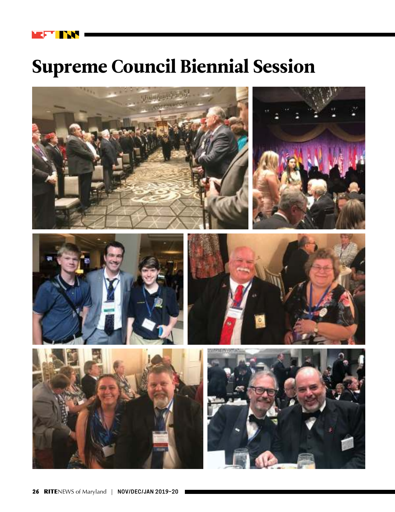#### **VEFTI INN**

## Supreme Council Biennial Session

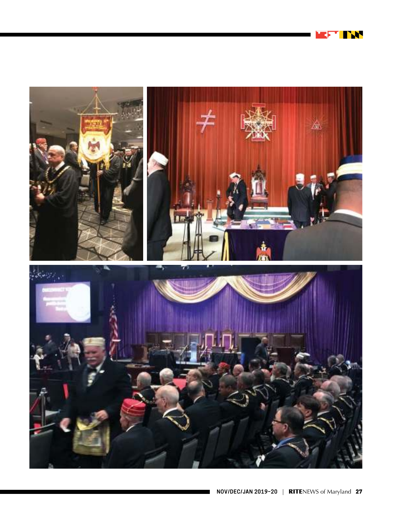



٠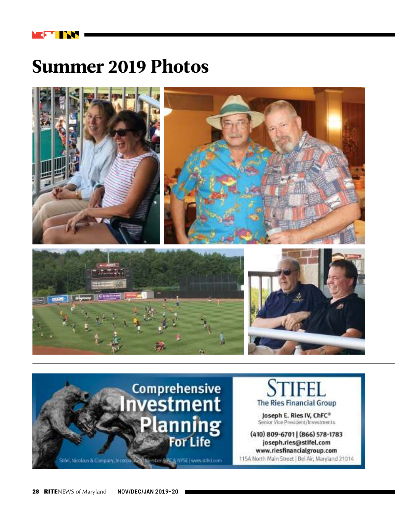

## Summer 2019 Photos



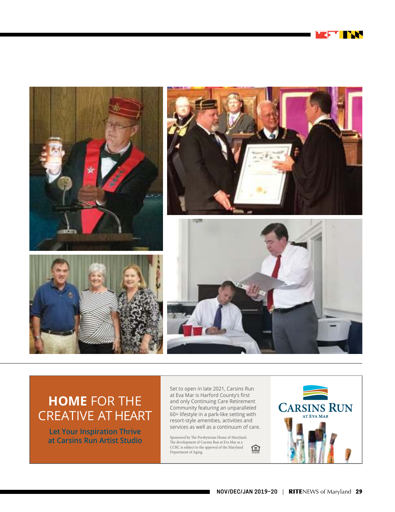



## **HOME** FOR THE CREATIVE AT HEART

**Let Your Inspiration Thrive at Carsins Run Artist Studio** Set to open in late 2021, Carsins Run at Eva Mar is Harford County's first and only Continuing Care Retirement Community featuring an unparalleled 60+ lifestyle in a park-like setting with resort-style amenities, activities and services as well as a continuum of care.

Sponsored by The Presbyterian Home of Maryland. The development of Carsins Run at Eva Mar as a CCRC is subject to the approval of the Maryland Department of Aging. 旦

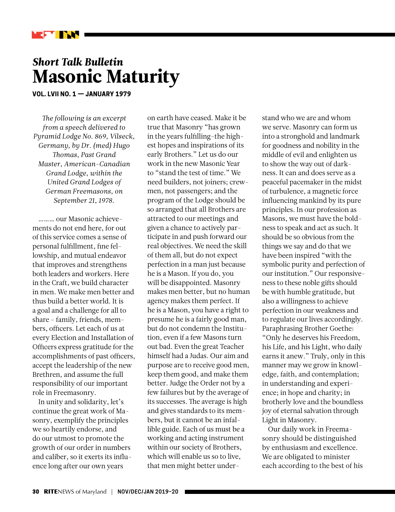### EFI INN

## *Short Talk Bulletin*  Masonic Maturity

**VOL. LVII NO. 1 — JANUARY 1979**

*The following is an excerpt from a speech delivered to Pyramid Lodge No. 869, Vilseck, Germany, by Dr. (med) Hugo Thomas, Past Grand Master, American-Canadian Grand Lodge, within the United Grand Lodges of German Freemasons, on September 21, 1978.* 

……… our Masonic achievements do not end here, for out of this service comes a sense of personal fulfillment, fine fellowship, and mutual endeavor that improves and strengthens both leaders and workers. Here in the Craft, we build character in men. We make men better and thus build a better world. It is a goal and a challenge for all to share - family, friends, members, officers. Let each of us at every Election and Installation of Officers express gratitude for the accomplishments of past officers, accept the leadership of the new Brethren, and assume the full responsibility of our important role in Freemasonry.

In unity and solidarity, let's continue the great work of Masonry, exemplify the principles we so heartily endorse, and do our utmost to promote the growth of our order in numbers and caliber, so it exerts its influence long after our own years

on earth have ceased. Make it be true that Masonry "has grown in the years fulfilling-the highest hopes and inspirations of its early Brothers." Let us do our work in the new Masonic Year to "stand the test of time." We need builders, not joiners; crewmen, not passengers; and the program of the Lodge should be so arranged that all Brothers are attracted to our meetings and given a chance to actively participate in and push forward our real objectives. We need the skill of them all, but do not expect perfection in a man just because he is a Mason. If you do, you will be disappointed. Masonry makes men better, but no human agency makes them perfect. If he is a Mason, you have a right to presume he is a fairly good man, but do not condemn the Institution, even if a few Masons turn out bad. Even the great Teacher himself had a Judas. Our aim and purpose are to receive good men, keep them good, and make them better. Judge the Order not by a few failures but by the average of its successes. The average is high and gives standards to its members, but it cannot be an infallible guide. Each of us must be a working and acting instrument within our society of Brothers, which will enable us so to live, that men might better understand who we are and whom we serve. Masonry can form us into a stronghold and landmark for goodness and nobility in the middle of evil and enlighten us to show the way out of darkness. It can and does serve as a peaceful pacemaker in the midst of turbulence, a magnetic force influencing mankind by its pure principles. In our profession as Masons, we must have the boldness to speak and act as such. It should be so obvious from the things we say and do that we have been inspired "with the symbolic purity and perfection of our institution." Our responsiveness to these noble gifts should be with humble gratitude, but also a willingness to achieve perfection in our weakness and to regulate our lives accordingly. Paraphrasing Brother Goethe: "Only he deserves his Freedom, his Life, and his Light, who daily earns it anew." Truly, only in this manner may we grow in knowledge, faith, and contemplation; in understanding and experience; in hope and charity; in brotherly love and the boundless joy of eternal salvation through Light in Masonry.

Our daily work in Freemasonry should be distinguished by enthusiasm and excellence. We are obligated to minister each according to the best of his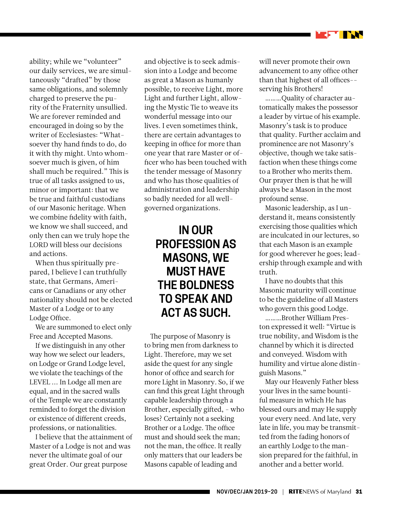

ability; while we "volunteer" our daily services, we are simultaneously "drafted" by those same obligations, and solemnly charged to preserve the purity of the Fraternity unsullied. We are forever reminded and encouraged in doing so by the writer of Ecclesiastes: "Whatsoever thy hand finds to do, do it with thy might. Unto whomsoever much is given, of him shall much be required." This is true of all tasks assigned to us, minor or important: that we be true and faithful custodians of our Masonic heritage. When we combine fidelity with faith, we know we shall succeed, and only then can we truly hope the LORD will bless our decisions and actions.

When thus spiritually prepared, I believe I can truthfully state, that Germans, Americans or Canadians or any other nationality should not be elected Master of a Lodge or to any Lodge Office.

We are summoned to elect only Free and Accepted Masons.

If we distinguish in any other way how we select our leaders, on Lodge or Grand Lodge level, we violate the teachings of the LEVEL ... In Lodge all men are equal, and in the sacred walls of the Temple we are constantly reminded to forget the division or existence of different creeds, professions, or nationalities.

I believe that the attainment of Master of a Lodge is not and was never the ultimate goal of our great Order. Our great purpose

and objective is to seek admission into a Lodge and become as great a Mason as humanly possible, to receive Light, more Light and further Light, allowing the Mystic Tie to weave its wonderful message into our lives. I even sometimes think, there are certain advantages to keeping in office for more than one year that rare Master or officer who has been touched with the tender message of Masonry and who has those qualities of administration and leadership so badly needed for all wellgoverned organizations.

## **IN OUR PROFESSION AS MASONS, WE MUST HAVE THE BOLDNESS TO SPEAK AND ACT AS SUCH.**

The purpose of Masonry is to bring men from darkness to Light. Therefore, may we set aside the quest for any single honor of office and search for more Light in Masonry. So, if we can find this great Light through capable leadership through a Brother, especially gifted, - who loses? Certainly not a seeking Brother or a Lodge. The office must and should seek the man; not the man, the office. It really only matters that our leaders be Masons capable of leading and

will never promote their own advancement to any office other than that highest of all offices- serving his Brothers!

………Quality of character automatically makes the possessor a leader by virtue of his example. Masonry's task is to produce that quality. Further acclaim and prominence are not Masonry's objective, though we take satisfaction when these things come to a Brother who merits them. Our prayer then is that he will always be a Mason in the most profound sense.

Masonic leadership, as I understand it, means consistently exercising those qualities which are inculcated in our lectures, so that each Mason is an example for good wherever he goes; leadership through example and with truth.

I have no doubts that this Masonic maturity will continue to be the guideline of all Masters who govern this good Lodge.

………Brother William Preston expressed it well: "Virtue is true nobility, and Wisdom is the channel by which it is directed and conveyed. Wisdom with humility and virtue alone distinguish Masons."

May our Heavenly Father bless your lives in the same bountiful measure in which He has blessed ours and may He supply your every need. And late, very late in life, you may be transmitted from the fading honors of an earthly Lodge to the mansion prepared for the faithful, in another and a better world.